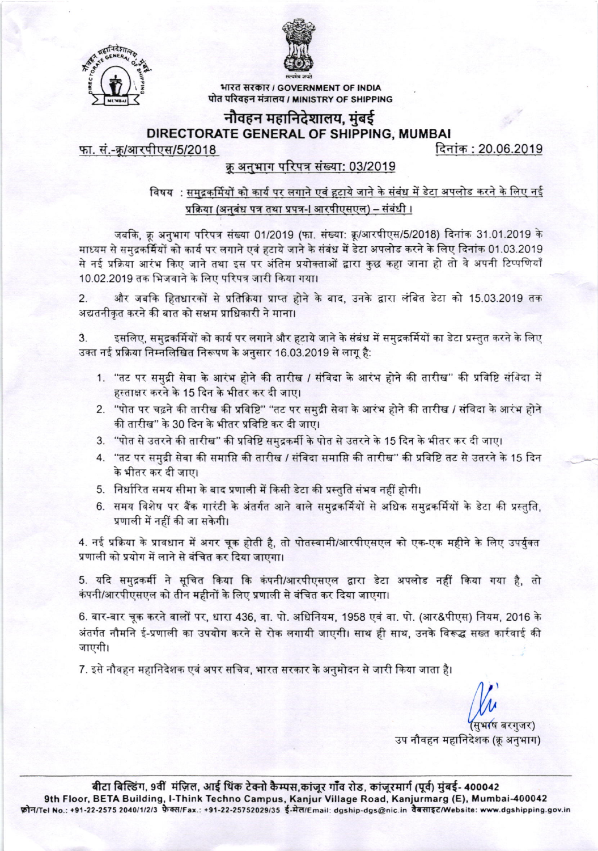



भारत सरकार / GOVERNMENT OF INDIA पोत परिवहन मंत्रालय / MINISTRY OF SHIPPING

# नौवहन महानिदेशालय, मुंबई DIRECTORATE GENERAL OF SHIPPING, MUMBAI

फा. सं.-क्र/आरपीएस/5/2018

दिनांक : 20.06.2019

# क्रू अनुभाग परिपत्र संख्या: 03/2019

#### विषय : समुद्रकर्मियों को कार्य पर लगाने एवं हटाये जाने के संबंध में डेटा अपलोड करने के लिए नई प्रक्रिया (अनुबंध पत्र तथा प्रपत्र-I आरपीएसएल) – संबंधी ।

जबकि, क्रू अनुभाग परिपत्र संख्या 01/2019 (फा. संख्या: क्रू/आरपीएस/5/2018) दिनांक 31.01.2019 के माध्यम से समुद्रकर्मियों को कार्य पर लगाने एवं हटाये जाने के संबंध में डेटा अपलोड करने के लिए दिनांक 01.03.2019 से नई प्रक्रिया आरंभ किए जाने तथा इस पर अंतिम प्रयोक्ताओं द्वारा कुछ कहा जाना हो तो वे अपनी टिप्पणियाँ 10.02.2019 तक भिजवाने के लिए परिपत्र जारी किया गया।

और जबकि हितधारकों से प्रतिक्रिया प्राप्त होने के बाद, उनके द्वारा लंबित डेटा को 15.03.2019 तक  $\overline{2}$ अद्यतनीकृत करने की बात को सक्षम प्राधिकारी ने माना।

इसलिए, समद्रकर्मियों को कार्य पर लगाने और हटाये जाने के संबंध में समुद्रकर्मियों का डेटा प्रस्तुत करने के लिए 3. उक्त नई प्रक्रिया निम्नलिखित निरूपण के अनुसार 16.03.2019 से लागू है:

- 1. "तट पर समुद्री सेवा के आरंभ होने की तारीख / संविदा के आरंभ होने की तारीख" की प्रविष्टि संविदा में हस्ताक्षर करने के 15 दिन के भीतर कर दी जाए।
- 2. "पोत पर चढ़ने की तारीख की प्रविष्टि" "तट पर समुद्री सेवा के आरंभ होने की तारीख / संविदा के आरंभ होने की तारीख" के 30 दिन के भीतर प्रविष्टि कर दी जाए।
- 3. "पोत से उतरने की तारीख" की प्रविष्टि समुद्रकर्मी के पोत से उतरने के 15 दिन के भीतर कर दी जाए।
- 4. ''तट पर समुद्री सेवा की समाप्ति की तारीख / संविदा समाप्ति की तारीख'' की प्रविष्टि तट से उतरने के 15 दिन के भीतर कर दी जाए।
- 5. निर्धारित समय सीमा के बाद प्रणाली में किसी डेटा की प्रस्तुति संभव नहीं होगी।
- 6. समय विशेष पर बैंक गारंटी के अंतर्गत आने वाले समुद्रकर्मियों से अधिक समुद्रकर्मियों के डेटा की प्रस्तुति, प्रणाली में नहीं की जा सकेगी।

4. नई प्रक्रिया के प्रावधान में अगर चूक होती है, तो पोतस्वामी/आरपीएसएल को एक-एक महीने के लिए उपर्युक्त प्रणाली को प्रयोग में लाने से वंचित कर दिया जाएगा।

5. यदि समुद्रकर्मी ने सूचित किया कि कंपनी/आरपीएसएल द्वारा डेटा अपलोड नहीं किया गया है, तो कंपनी/आरपीएसएल को तीन महीनों के लिए प्रणाली से वंचित कर दिया जाएगा।

6. बार-बार चुक करने वालों पर, धारा 436, वा. पो. अधिनियम, 1958 एवं वा. पो. (आर&पीएस) नियम, 2016 के अंतर्गत नौमनि ई-प्रणाली का उपयोग करने से रोक लगायी जाएगी। साथ ही साथ, उनके विरूद्ध सख्त कार्रवाई की जाएगी।

7. इसे नौवहन महानिदेशक एवं अपर सचिव, भारत सरकार के अनुमोदन से जारी किया जाता है।

उप नौवहन महानिदेशक (क्रू अनुभाग)